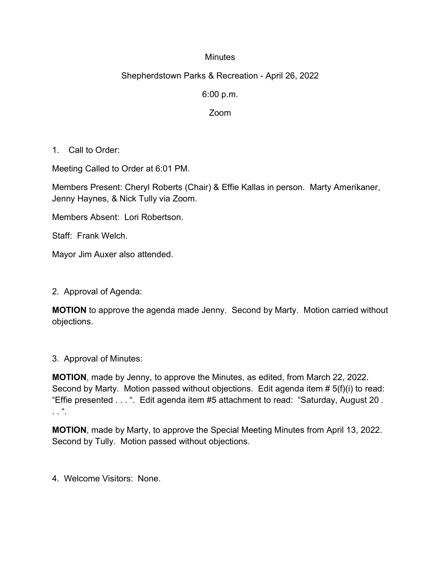## **Minutes**

## Shepherdstown Parks & Recreation - April 26, 2022

6:00 p.m.

Zoom

1. Call to Order:

Meeting Called to Order at 6:01 PM.

Members Present: Cheryl Roberts (Chair) & Effie Kallas in person. Marty Amerikaner, Jenny Haynes, & Nick Tully via Zoom.

Members Absent: Lori Robertson.

Staff: Frank Welch.

Mayor Jim Auxer also attended.

2. Approval of Agenda:

**MOTION** to approve the agenda made Jenny. Second by Marty. Motion carried without objections.

3. Approval of Minutes:

**MOTION**, made by Jenny, to approve the Minutes, as edited, from March 22, 2022. Second by Marty. Motion passed without objections. Edit agenda item # 5(f)(i) to read: "Effie presented . . . ". Edit agenda item #5 attachment to read: "Saturday, August 20 .  $\cdot$  .  $\cdot$  ".

**MOTION**, made by Marty, to approve the Special Meeting Minutes from April 13, 2022. Second by Tully. Motion passed without objections.

4. Welcome Visitors: None.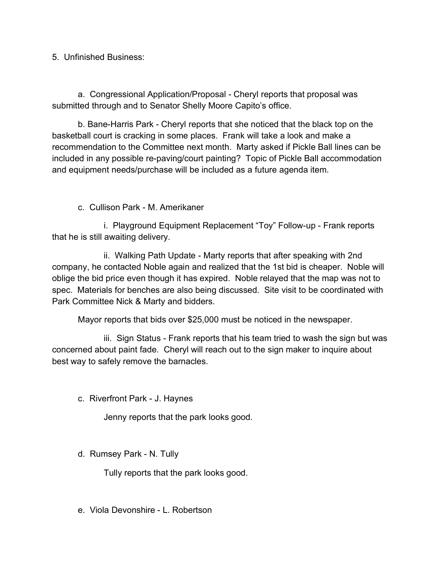5. Unfinished Business:

a. Congressional Application/Proposal - Cheryl reports that proposal was submitted through and to Senator Shelly Moore Capito's office.

b. Bane-Harris Park - Cheryl reports that she noticed that the black top on the basketball court is cracking in some places. Frank will take a look and make a recommendation to the Committee next month. Marty asked if Pickle Ball lines can be included in any possible re-paving/court painting? Topic of Pickle Ball accommodation and equipment needs/purchase will be included as a future agenda item.

c. Cullison Park - M. Amerikaner

 i. Playground Equipment Replacement "Toy" Follow-up - Frank reports that he is still awaiting delivery.

ii. Walking Path Update - Marty reports that after speaking with 2nd company, he contacted Noble again and realized that the 1st bid is cheaper. Noble will oblige the bid price even though it has expired. Noble relayed that the map was not to spec. Materials for benches are also being discussed. Site visit to be coordinated with Park Committee Nick & Marty and bidders.

Mayor reports that bids over \$25,000 must be noticed in the newspaper.

iii. Sign Status - Frank reports that his team tried to wash the sign but was concerned about paint fade. Cheryl will reach out to the sign maker to inquire about best way to safely remove the barnacles.

c. Riverfront Park - J. Haynes

Jenny reports that the park looks good.

d. Rumsey Park - N. Tully

Tully reports that the park looks good.

e. Viola Devonshire - L. Robertson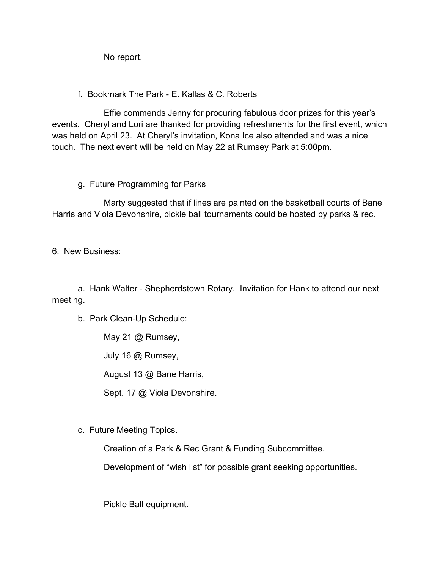No report.

f. Bookmark The Park - E. Kallas & C. Roberts

Effie commends Jenny for procuring fabulous door prizes for this year's events. Cheryl and Lori are thanked for providing refreshments for the first event, which was held on April 23. At Cheryl's invitation, Kona Ice also attended and was a nice touch. The next event will be held on May 22 at Rumsey Park at 5:00pm.

g. Future Programming for Parks

Marty suggested that if lines are painted on the basketball courts of Bane Harris and Viola Devonshire, pickle ball tournaments could be hosted by parks & rec.

6. New Business:

a. Hank Walter - Shepherdstown Rotary. Invitation for Hank to attend our next meeting.

b. Park Clean-Up Schedule:

May 21 @ Rumsey,

July 16 @ Rumsey,

August 13 @ Bane Harris,

Sept. 17 @ Viola Devonshire.

c. Future Meeting Topics.

Creation of a Park & Rec Grant & Funding Subcommittee.

Development of "wish list" for possible grant seeking opportunities.

Pickle Ball equipment.